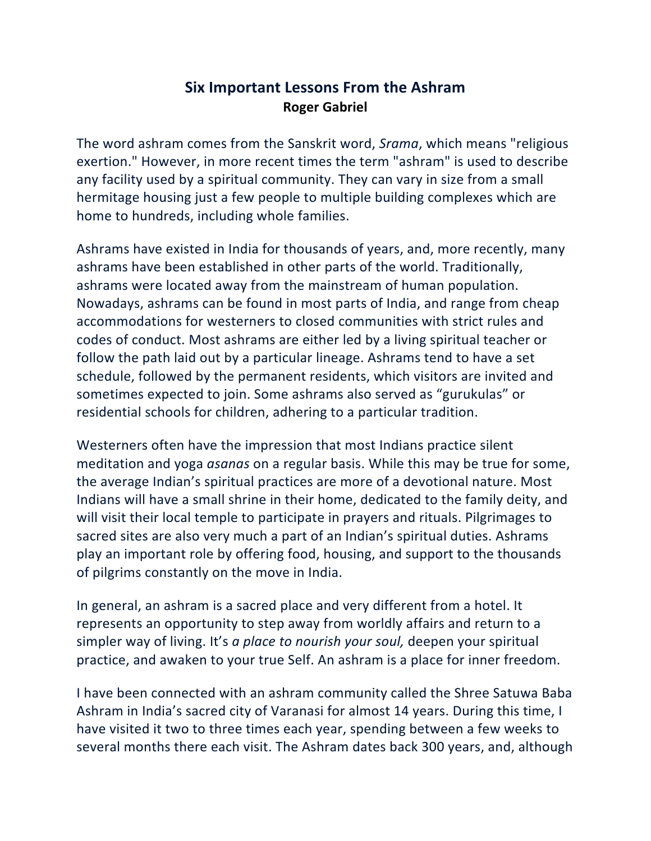# **Six Important Lessons From the Ashram Roger Gabriel**

The word ashram comes from the Sanskrit word, *Srama*, which means "religious exertion." However, in more recent times the term "ashram" is used to describe any facility used by a spiritual community. They can vary in size from a small hermitage housing just a few people to multiple building complexes which are home to hundreds, including whole families.

Ashrams have existed in India for thousands of years, and, more recently, many ashrams have been established in other parts of the world. Traditionally, ashrams were located away from the mainstream of human population. Nowadays, ashrams can be found in most parts of India, and range from cheap accommodations for westerners to closed communities with strict rules and codes of conduct. Most ashrams are either led by a living spiritual teacher or follow the path laid out by a particular lineage. Ashrams tend to have a set schedule, followed by the permanent residents, which visitors are invited and sometimes expected to join. Some ashrams also served as "gurukulas" or residential schools for children, adhering to a particular tradition.

Westerners often have the impression that most Indians practice silent meditation and yoga *asanas* on a regular basis. While this may be true for some, the average Indian's spiritual practices are more of a devotional nature. Most Indians will have a small shrine in their home, dedicated to the family deity, and will visit their local temple to participate in prayers and rituals. Pilgrimages to sacred sites are also very much a part of an Indian's spiritual duties. Ashrams play an important role by offering food, housing, and support to the thousands of pilgrims constantly on the move in India.

In general, an ashram is a sacred place and very different from a hotel. It represents an opportunity to step away from worldly affairs and return to a simpler way of living. It's *a place to nourish your soul*, deepen your spiritual practice, and awaken to your true Self. An ashram is a place for inner freedom.

I have been connected with an ashram community called the Shree Satuwa Baba Ashram in India's sacred city of Varanasi for almost 14 years. During this time, I have visited it two to three times each year, spending between a few weeks to several months there each visit. The Ashram dates back 300 years, and, although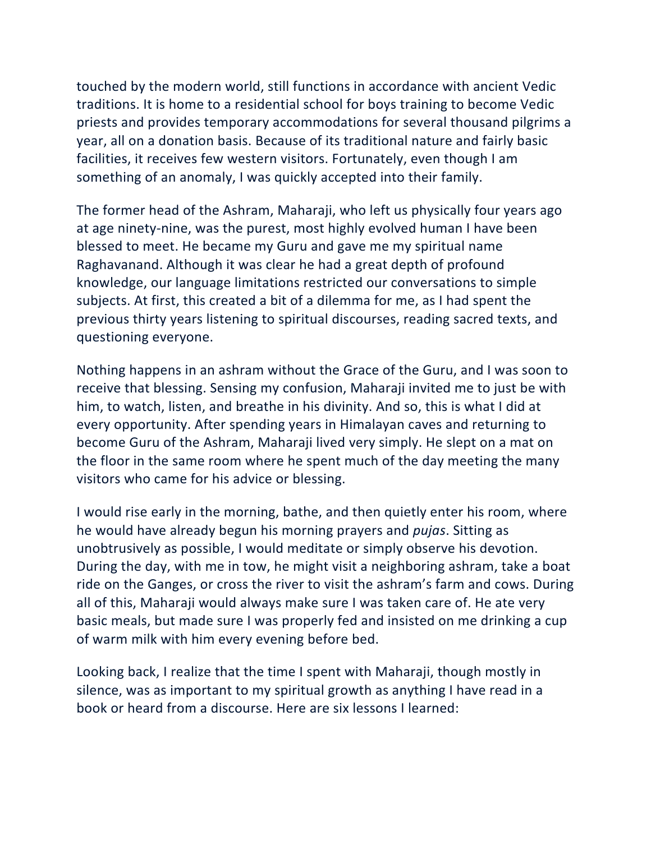touched by the modern world, still functions in accordance with ancient Vedic traditions. It is home to a residential school for boys training to become Vedic priests and provides temporary accommodations for several thousand pilgrims a year, all on a donation basis. Because of its traditional nature and fairly basic facilities, it receives few western visitors. Fortunately, even though I am something of an anomaly, I was quickly accepted into their family.

The former head of the Ashram, Maharaji, who left us physically four years ago at age ninety-nine, was the purest, most highly evolved human I have been blessed to meet. He became my Guru and gave me my spiritual name Raghavanand. Although it was clear he had a great depth of profound knowledge, our language limitations restricted our conversations to simple subjects. At first, this created a bit of a dilemma for me, as I had spent the previous thirty years listening to spiritual discourses, reading sacred texts, and questioning everyone.

Nothing happens in an ashram without the Grace of the Guru, and I was soon to receive that blessing. Sensing my confusion, Maharaji invited me to just be with him, to watch, listen, and breathe in his divinity. And so, this is what I did at every opportunity. After spending years in Himalayan caves and returning to become Guru of the Ashram, Maharaji lived very simply. He slept on a mat on the floor in the same room where he spent much of the day meeting the many visitors who came for his advice or blessing.

I would rise early in the morning, bathe, and then quietly enter his room, where he would have already begun his morning prayers and *pujas*. Sitting as unobtrusively as possible, I would meditate or simply observe his devotion. During the day, with me in tow, he might visit a neighboring ashram, take a boat ride on the Ganges, or cross the river to visit the ashram's farm and cows. During all of this, Maharaji would always make sure I was taken care of. He ate very basic meals, but made sure I was properly fed and insisted on me drinking a cup of warm milk with him every evening before bed.

Looking back, I realize that the time I spent with Maharaji, though mostly in silence, was as important to my spiritual growth as anything I have read in a book or heard from a discourse. Here are six lessons I learned: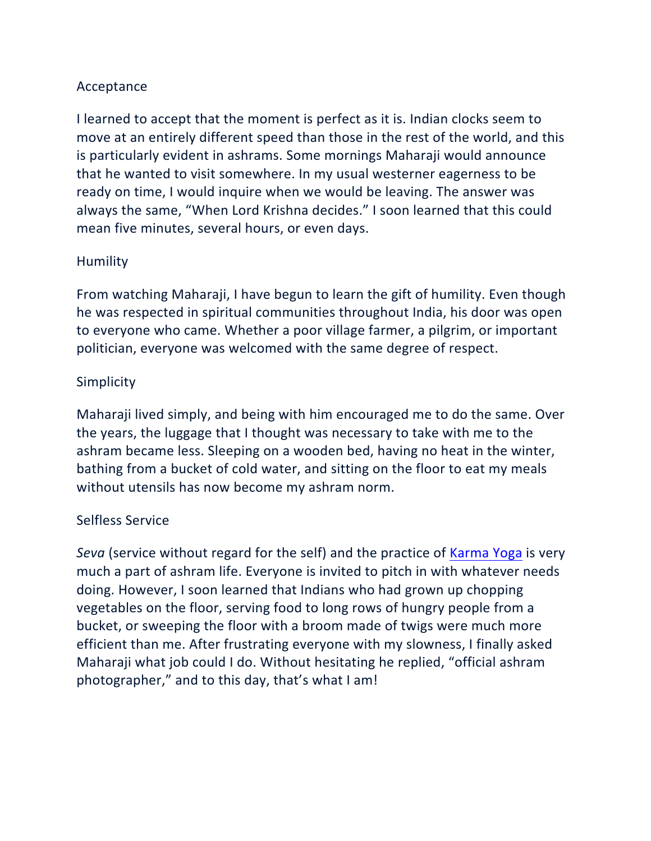### Acceptance

I learned to accept that the moment is perfect as it is. Indian clocks seem to move at an entirely different speed than those in the rest of the world, and this is particularly evident in ashrams. Some mornings Maharaji would announce that he wanted to visit somewhere. In my usual westerner eagerness to be ready on time, I would inquire when we would be leaving. The answer was always the same, "When Lord Krishna decides." I soon learned that this could mean five minutes, several hours, or even days.

#### **Humility**

From watching Maharaji, I have begun to learn the gift of humility. Even though he was respected in spiritual communities throughout India, his door was open to everyone who came. Whether a poor village farmer, a pilgrim, or important politician, everyone was welcomed with the same degree of respect.

#### Simplicity

Maharaji lived simply, and being with him encouraged me to do the same. Over the years, the luggage that I thought was necessary to take with me to the ashram became less. Sleeping on a wooden bed, having no heat in the winter, bathing from a bucket of cold water, and sitting on the floor to eat my meals without utensils has now become my ashram norm.

#### Selfless Service

*Seva* (service without regard for the self) and the practice of Karma Yoga is very much a part of ashram life. Everyone is invited to pitch in with whatever needs doing. However, I soon learned that Indians who had grown up chopping vegetables on the floor, serving food to long rows of hungry people from a bucket, or sweeping the floor with a broom made of twigs were much more efficient than me. After frustrating everyone with my slowness, I finally asked Maharaji what job could I do. Without hesitating he replied, "official ashram photographer," and to this day, that's what I am!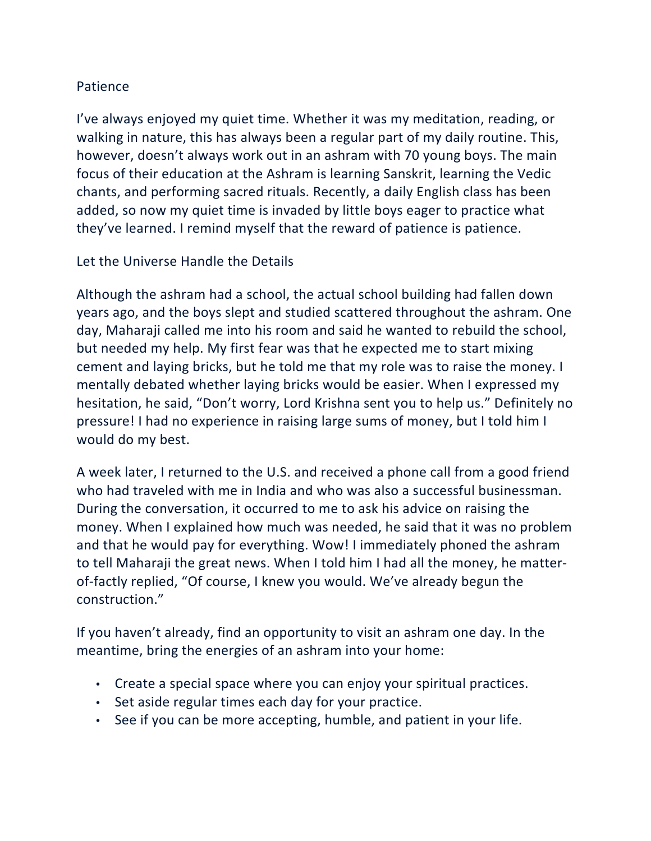## Patience

I've always enjoyed my quiet time. Whether it was my meditation, reading, or walking in nature, this has always been a regular part of my daily routine. This, however, doesn't always work out in an ashram with 70 young boys. The main focus of their education at the Ashram is learning Sanskrit, learning the Vedic chants, and performing sacred rituals. Recently, a daily English class has been added, so now my quiet time is invaded by little boys eager to practice what they've learned. I remind myself that the reward of patience is patience.

Let the Universe Handle the Details

Although the ashram had a school, the actual school building had fallen down years ago, and the boys slept and studied scattered throughout the ashram. One day, Maharaji called me into his room and said he wanted to rebuild the school, but needed my help. My first fear was that he expected me to start mixing cement and laying bricks, but he told me that my role was to raise the money. I mentally debated whether laying bricks would be easier. When I expressed my hesitation, he said, "Don't worry, Lord Krishna sent you to help us." Definitely no pressure! I had no experience in raising large sums of money, but I told him I would do my best.

A week later, I returned to the U.S. and received a phone call from a good friend who had traveled with me in India and who was also a successful businessman. During the conversation, it occurred to me to ask his advice on raising the money. When I explained how much was needed, he said that it was no problem and that he would pay for everything. Wow! I immediately phoned the ashram to tell Maharaji the great news. When I told him I had all the money, he matterof-factly replied, "Of course, I knew you would. We've already begun the construction."

If you haven't already, find an opportunity to visit an ashram one day. In the meantime, bring the energies of an ashram into your home:

- Create a special space where you can enjoy your spiritual practices.
- Set aside regular times each day for your practice.
- See if you can be more accepting, humble, and patient in your life.